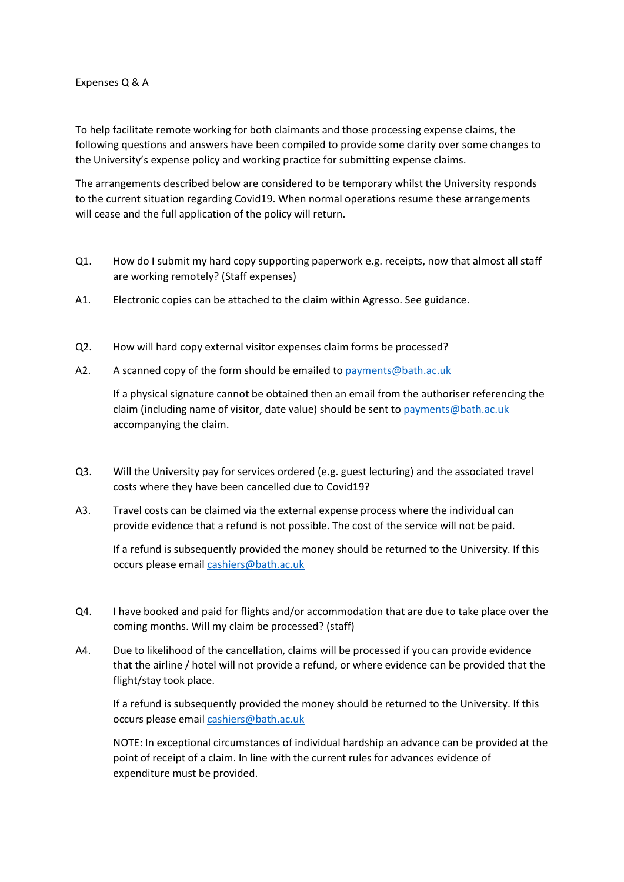## Expenses Q & A

To help facilitate remote working for both claimants and those processing expense claims, the following questions and answers have been compiled to provide some clarity over some changes to the University's expense policy and working practice for submitting expense claims.

The arrangements described below are considered to be temporary whilst the University responds to the current situation regarding Covid19. When normal operations resume these arrangements will cease and the full application of the policy will return.

- Q1. How do I submit my hard copy supporting paperwork e.g. receipts, now that almost all staff are working remotely? (Staff expenses)
- A1. Electronic copies can be attached to the claim within Agresso. See guidance.
- Q2. How will hard copy external visitor expenses claim forms be processed?
- A2. A scanned copy of the form should be emailed to [payments@bath.ac.uk](mailto:payments@bath.ac.uk)

If a physical signature cannot be obtained then an email from the authoriser referencing the claim (including name of visitor, date value) should be sent to [payments@bath.ac.uk](mailto:payments@bath.ac.uk) accompanying the claim.

- Q3. Will the University pay for services ordered (e.g. guest lecturing) and the associated travel costs where they have been cancelled due to Covid19?
- A3. Travel costs can be claimed via the external expense process where the individual can provide evidence that a refund is not possible. The cost of the service will not be paid.

If a refund is subsequently provided the money should be returned to the University. If this occurs please email [cashiers@bath.ac.uk](mailto:cashiers@bath.ac.uk)

- Q4. I have booked and paid for flights and/or accommodation that are due to take place over the coming months. Will my claim be processed? (staff)
- A4. Due to likelihood of the cancellation, claims will be processed if you can provide evidence that the airline / hotel will not provide a refund, or where evidence can be provided that the flight/stay took place.

If a refund is subsequently provided the money should be returned to the University. If this occurs please email [cashiers@bath.ac.uk](mailto:cashiers@bath.ac.uk)

NOTE: In exceptional circumstances of individual hardship an advance can be provided at the point of receipt of a claim. In line with the current rules for advances evidence of expenditure must be provided.